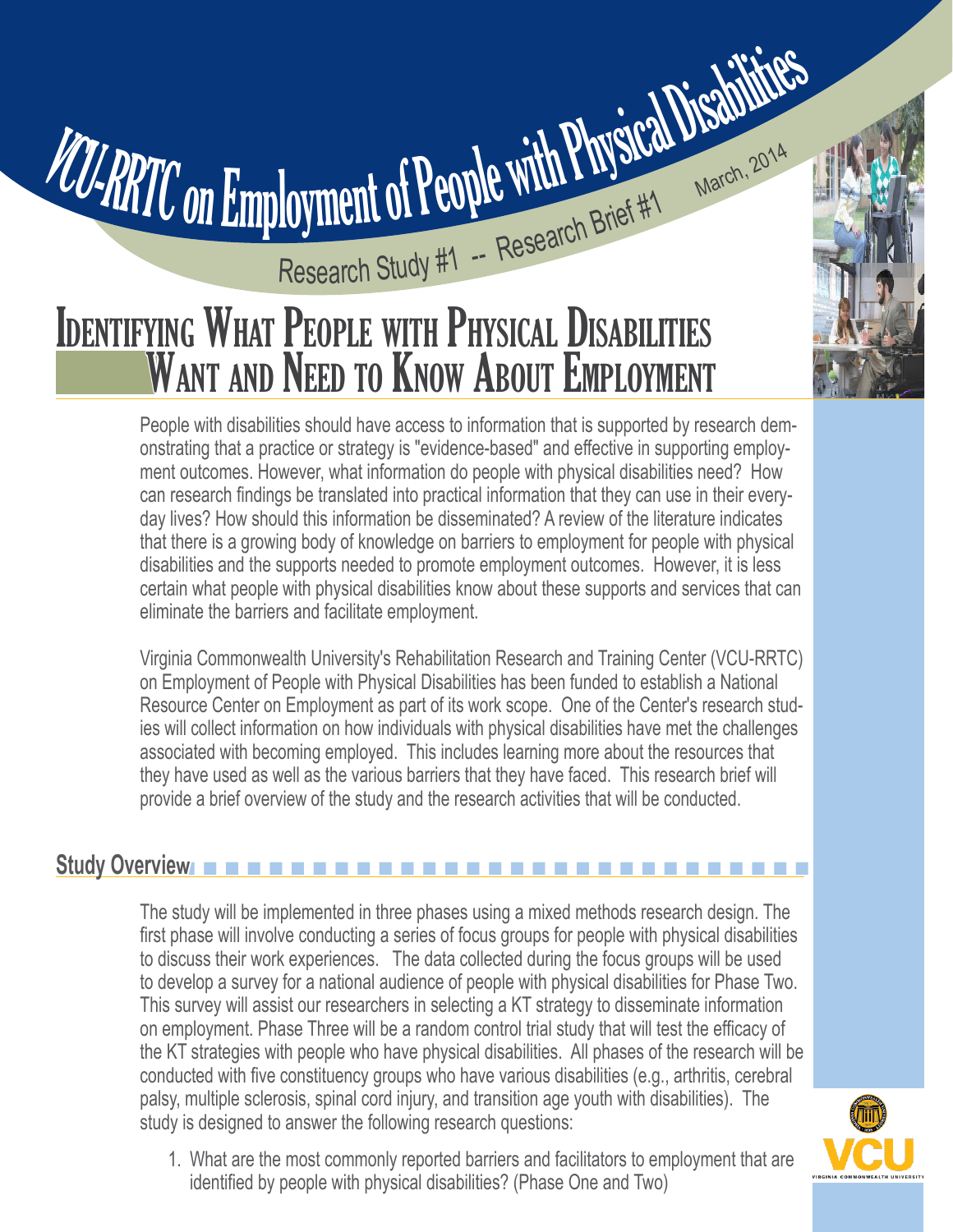## Research Study #1 -- Research Brief #1 March, 2014 VCU-RRTC on Employment of People with Physical Disabilities Research Study #1 - Research Brief #1

# WANT AND NEED TO KNOW ABOUT EMPLOYMENT

People with disabilities should have access to information that is supported by research demonstrating that a practice or strategy is "evidence-based" and effective in supporting employment outcomes. However, what information do people with physical disabilities need? How can research findings be translated into practical information that they can use in their everyday lives? How should this information be disseminated? A review of the literature indicates that there is a growing body of knowledge on barriers to employment for people with physical disabilities and the supports needed to promote employment outcomes. However, it is less certain what people with physical disabilities know about these supports and services that can eliminate the barriers and facilitate employment.

Virginia Commonwealth University's Rehabilitation Research and Training Center (VCU-RRTC) on Employment of People with Physical Disabilities has been funded to establish a National Resource Center on Employment as part of its work scope. One of the Center's research studies will collect information on how individuals with physical disabilities have met the challenges associated with becoming employed. This includes learning more about the resources that they have used as well as the various barriers that they have faced. This research brief will provide a brief overview of the study and the research activities that will be conducted.

#### n n n n n n n n n n n n n n n n n n n n n n n n n n n n n **Study Overview**

The study will be implemented in three phases using a mixed methods research design. The first phase will involve conducting a series of focus groups for people with physical disabilities to discuss their work experiences. The data collected during the focus groups will be used to develop a survey for a national audience of people with physical disabilities for Phase Two. This survey will assist our researchers in selecting a KT strategy to disseminate information on employment. Phase Three will be a random control trial study that will test the efficacy of the KT strategies with people who have physical disabilities. All phases of the research will be conducted with five constituency groups who have various disabilities (e.g., arthritis, cerebral palsy, multiple sclerosis, spinal cord injury, and transition age youth with disabilities). The study is designed to answer the following research questions:



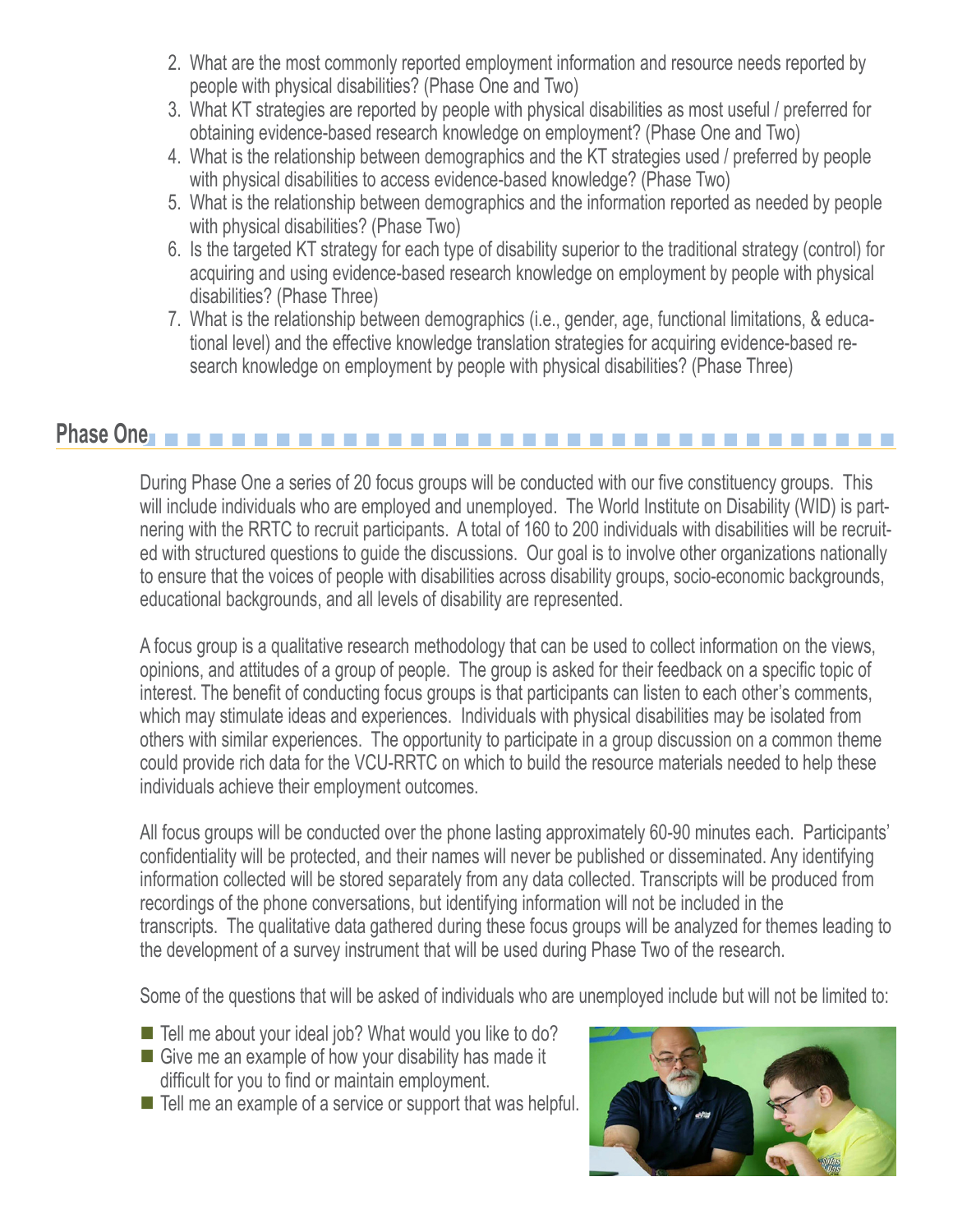- 2. What are the most commonly reported employment information and resource needs reported by people with physical disabilities? (Phase One and Two)
- 3. What KT strategies are reported by people with physical disabilities as most useful / preferred for obtaining evidence-based research knowledge on employment? (Phase One and Two)
- 4. What is the relationship between demographics and the KT strategies used / preferred by people with physical disabilities to access evidence-based knowledge? (Phase Two)
- 5. What is the relationship between demographics and the information reported as needed by people with physical disabilities? (Phase Two)
- 6. Is the targeted KT strategy for each type of disability superior to the traditional strategy (control) for acquiring and using evidence-based research knowledge on employment by people with physical disabilities? (Phase Three)
- 7. What is the relationship between demographics (i.e., gender, age, functional limitations, & educational level) and the effective knowledge translation strategies for acquiring evidence-based research knowledge on employment by people with physical disabilities? (Phase Three)

#### **Phase One** n n n n n n n n n n n n n n n n n n n n n n n n n n n n n n n n n n

During Phase One a series of 20 focus groups will be conducted with our five constituency groups. This will include individuals who are employed and unemployed. The World Institute on Disability (WID) is partnering with the RRTC to recruit participants. A total of 160 to 200 individuals with disabilities will be recruited with structured questions to guide the discussions. Our goal is to involve other organizations nationally to ensure that the voices of people with disabilities across disability groups, socio-economic backgrounds, educational backgrounds, and all levels of disability are represented.

A focus group is a qualitative research methodology that can be used to collect information on the views, opinions, and attitudes of a group of people. The group is asked for their feedback on a specific topic of interest. The benefit of conducting focus groups is that participants can listen to each other's comments, which may stimulate ideas and experiences. Individuals with physical disabilities may be isolated from others with similar experiences. The opportunity to participate in a group discussion on a common theme could provide rich data for the VCU-RRTC on which to build the resource materials needed to help these individuals achieve their employment outcomes.

All focus groups will be conducted over the phone lasting approximately 60-90 minutes each. Participants' confidentiality will be protected, and their names will never be published or disseminated. Any identifying information collected will be stored separately from any data collected. Transcripts will be produced from recordings of the phone conversations, but identifying information will not be included in the transcripts. The qualitative data gathered during these focus groups will be analyzed for themes leading to the development of a survey instrument that will be used during Phase Two of the research.

Some of the questions that will be asked of individuals who are unemployed include but will not be limited to:

- Tell me about your ideal job? What would you like to do?
- $\blacksquare$  Give me an example of how your disability has made it difficult for you to find or maintain employment.
- $\blacksquare$  Tell me an example of a service or support that was helpful.

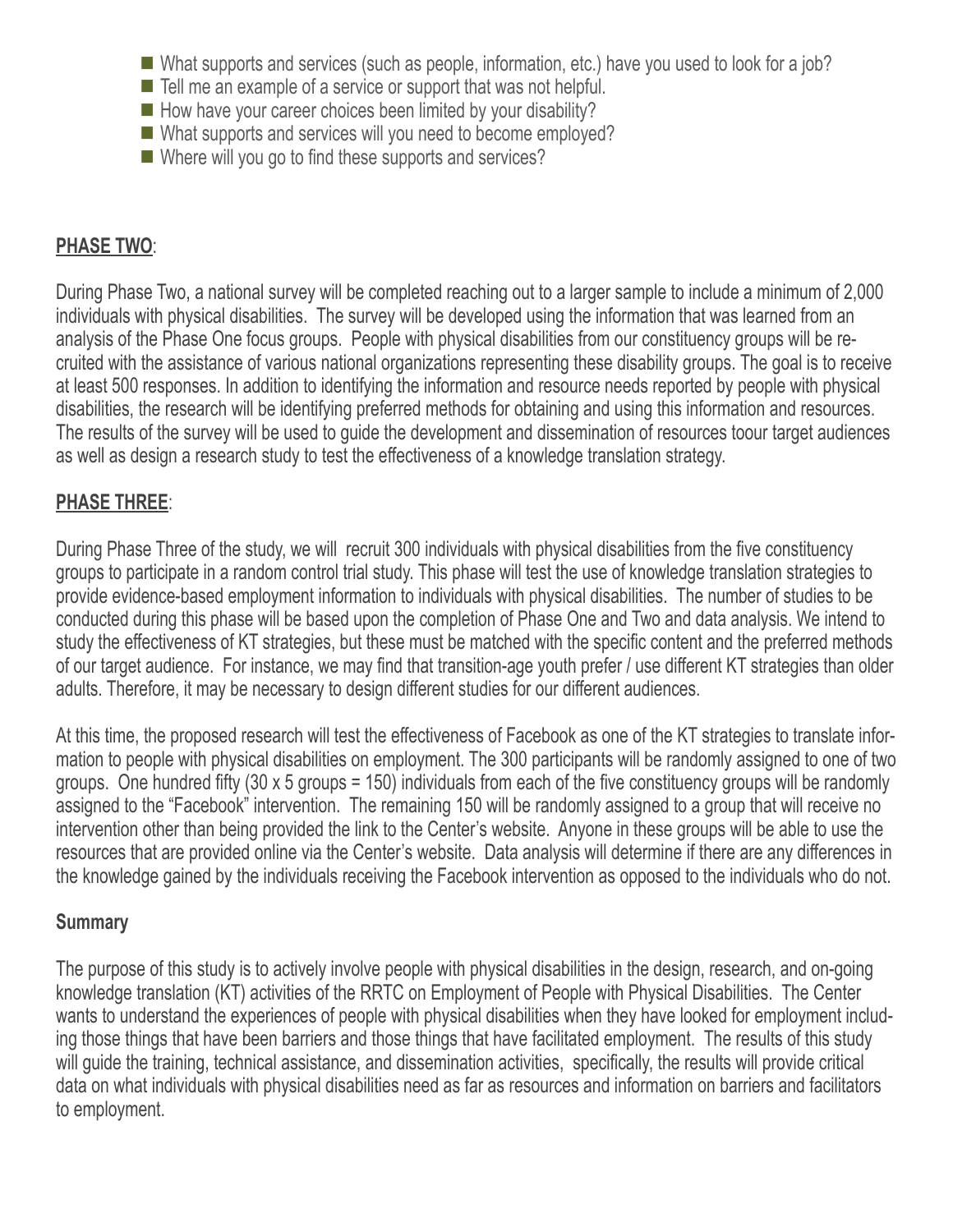- $\blacksquare$  What supports and services (such as people, information, etc.) have you used to look for a job?
- $\blacksquare$  Tell me an example of a service or support that was not helpful.
- $\blacksquare$  How have your career choices been limited by your disability?
- $\blacksquare$  What supports and services will you need to become employed?
- $\blacksquare$  Where will you go to find these supports and services?

## **PHASE TWO**:

During Phase Two, a national survey will be completed reaching out to a larger sample to include a minimum of 2,000 individuals with physical disabilities. The survey will be developed using the information that was learned from an analysis of the Phase One focus groups. People with physical disabilities from our constituency groups will be recruited with the assistance of various national organizations representing these disability groups. The goal is to receive at least 500 responses. In addition to identifying the information and resource needs reported by people with physical disabilities, the research will be identifying preferred methods for obtaining and using this information and resources. The results of the survey will be used to guide the development and dissemination of resources toour target audiences as well as design a research study to test the effectiveness of a knowledge translation strategy.

## **PHASE THREE**:

During Phase Three of the study, we will recruit 300 individuals with physical disabilities from the five constituency groups to participate in a random control trial study. This phase will test the use of knowledge translation strategies to provide evidence-based employment information to individuals with physical disabilities. The number of studies to be conducted during this phase will be based upon the completion of Phase One and Two and data analysis. We intend to study the effectiveness of KT strategies, but these must be matched with the specific content and the preferred methods of our target audience. For instance, we may find that transition-age youth prefer / use different KT strategies than older adults. Therefore, it may be necessary to design different studies for our different audiences.

At this time, the proposed research will test the effectiveness of Facebook as one of the KT strategies to translate information to people with physical disabilities on employment. The 300 participants will be randomly assigned to one of two groups. One hundred fifty (30 x 5 groups = 150) individuals from each of the five constituency groups will be randomly assigned to the "Facebook" intervention. The remaining 150 will be randomly assigned to a group that will receive no intervention other than being provided the link to the Center's website. Anyone in these groups will be able to use the resources that are provided online via the Center's website. Data analysis will determine if there are any differences in the knowledge gained by the individuals receiving the Facebook intervention as opposed to the individuals who do not.

### **Summary**

The purpose of this study is to actively involve people with physical disabilities in the design, research, and on-going knowledge translation (KT) activities of the RRTC on Employment of People with Physical Disabilities. The Center wants to understand the experiences of people with physical disabilities when they have looked for employment including those things that have been barriers and those things that have facilitated employment. The results of this study will guide the training, technical assistance, and dissemination activities, specifically, the results will provide critical data on what individuals with physical disabilities need as far as resources and information on barriers and facilitators to employment.